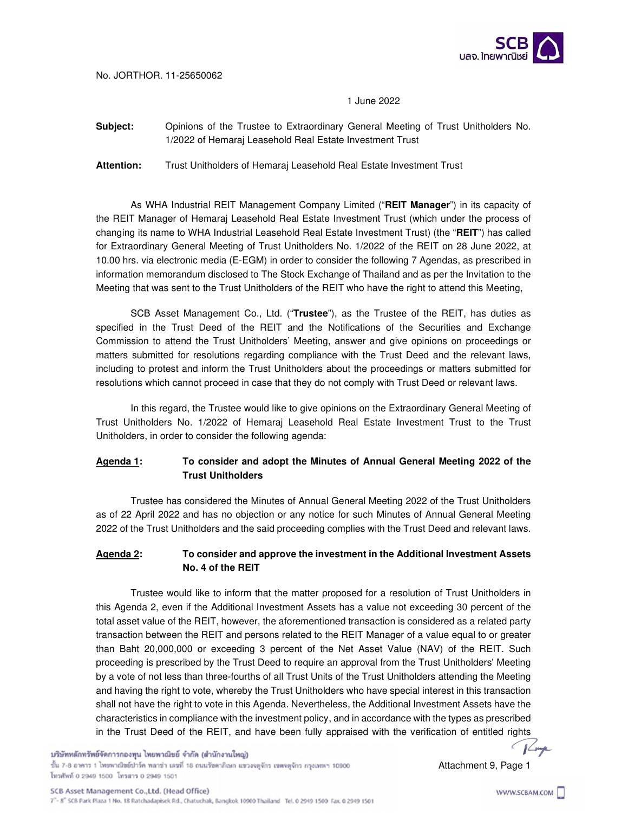

No. JORTHOR. 11-25650062

### 1 June 2022

**Subject:** Opinions of the Trustee to Extraordinary General Meeting of Trust Unitholders No. 1/2022 of Hemaraj Leasehold Real Estate Investment Trust

**Attention:** Trust Unitholders of Hemaraj Leasehold Real Estate Investment Trust

 As WHA Industrial REIT Management Company Limited ("**REIT Manager**") in its capacity of the REIT Manager of Hemaraj Leasehold Real Estate Investment Trust (which under the process of changing its name to WHA Industrial Leasehold Real Estate Investment Trust) (the "**REIT**") has called for Extraordinary General Meeting of Trust Unitholders No. 1/2022 of the REIT on 28 June 2022, at 10.00 hrs. via electronic media (E-EGM) in order to consider the following 7 Agendas, as prescribed in information memorandum disclosed to The Stock Exchange of Thailand and as per the Invitation to the Meeting that was sent to the Trust Unitholders of the REIT who have the right to attend this Meeting,

SCB Asset Management Co., Ltd. ("**Trustee**"), as the Trustee of the REIT, has duties as specified in the Trust Deed of the REIT and the Notifications of the Securities and Exchange Commission to attend the Trust Unitholders' Meeting, answer and give opinions on proceedings or matters submitted for resolutions regarding compliance with the Trust Deed and the relevant laws, including to protest and inform the Trust Unitholders about the proceedings or matters submitted for resolutions which cannot proceed in case that they do not comply with Trust Deed or relevant laws.

In this regard, the Trustee would like to give opinions on the Extraordinary General Meeting of Trust Unitholders No. 1/2022 of Hemaraj Leasehold Real Estate Investment Trust to the Trust Unitholders, in order to consider the following agenda:

# **Agenda 1: To consider and adopt the Minutes of Annual General Meeting 2022 of the Trust Unitholders**

 Trustee has considered the Minutes of Annual General Meeting 2022 of the Trust Unitholders as of 22 April 2022 and has no objection or any notice for such Minutes of Annual General Meeting 2022 of the Trust Unitholders and the said proceeding complies with the Trust Deed and relevant laws.

## **Agenda 2: To consider and approve the investment in the Additional Investment Assets No. 4 of the REIT**

Trustee would like to inform that the matter proposed for a resolution of Trust Unitholders in this Agenda 2, even if the Additional Investment Assets has a value not exceeding 30 percent of the total asset value of the REIT, however, the aforementioned transaction is considered as a related party transaction between the REIT and persons related to the REIT Manager of a value equal to or greater than Baht 20,000,000 or exceeding 3 percent of the Net Asset Value (NAV) of the REIT. Such proceeding is prescribed by the Trust Deed to require an approval from the Trust Unitholders' Meeting by a vote of not less than three-fourths of all Trust Units of the Trust Unitholders attending the Meeting and having the right to vote, whereby the Trust Unitholders who have special interest in this transaction shall not have the right to vote in this Agenda. Nevertheless, the Additional Investment Assets have the characteristics in compliance with the investment policy, and in accordance with the types as prescribed in the Trust Deed of the REIT, and have been fully appraised with the verification of entitled rights

บริษัทหลักทรัพย์จัดการกองทุน ไทยพาณิชย์ จำกัด (สำนักงานใหญ่) ชั้น 7-8 อาคาร 1 ไทยพาณิชย์ปาร์ค พลาช่า เลขที่ 18 ถนนรัชดาภิเษก แขวงจตุจักร เขตจตุจักร กรุงเทพฯ 10900 โทรศัพท์ 0 2949 1500 โทรสาร 0 2949 1501

7<sup>2</sup>-8" SCB Park Plaza 1 No. 18 Ratchadapisek Rd., Chatuchak, Bangkok 10900 Thailand Tel. 0 2949 1500 Fax 0 2949 1501

Komp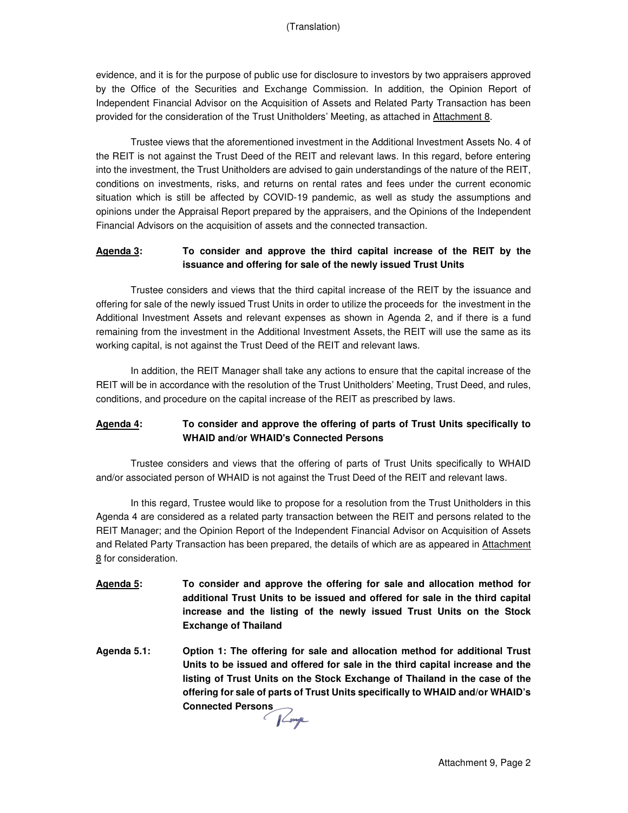#### (Translation)

evidence, and it is for the purpose of public use for disclosure to investors by two appraisers approved by the Office of the Securities and Exchange Commission. In addition, the Opinion Report of Independent Financial Advisor on the Acquisition of Assets and Related Party Transaction has been provided for the consideration of the Trust Unitholders' Meeting, as attached in Attachment 8.

Trustee views that the aforementioned investment in the Additional Investment Assets No. 4 of the REIT is not against the Trust Deed of the REIT and relevant laws. In this regard, before entering into the investment, the Trust Unitholders are advised to gain understandings of the nature of the REIT, conditions on investments, risks, and returns on rental rates and fees under the current economic situation which is still be affected by COVID-19 pandemic, as well as study the assumptions and opinions under the Appraisal Report prepared by the appraisers, and the Opinions of the Independent Financial Advisors on the acquisition of assets and the connected transaction.

## **Agenda 3: To consider and approve the third capital increase of the REIT by the issuance and offering for sale of the newly issued Trust Units**

Trustee considers and views that the third capital increase of the REIT by the issuance and offering for sale of the newly issued Trust Units in order to utilize the proceeds for the investment in the Additional Investment Assets and relevant expenses as shown in Agenda 2, and if there is a fund remaining from the investment in the Additional Investment Assets, the REIT will use the same as its working capital, is not against the Trust Deed of the REIT and relevant laws.

In addition, the REIT Manager shall take any actions to ensure that the capital increase of the REIT will be in accordance with the resolution of the Trust Unitholders' Meeting, Trust Deed, and rules, conditions, and procedure on the capital increase of the REIT as prescribed by laws.

## **Agenda 4: To consider and approve the offering of parts of Trust Units specifically to WHAID and/or WHAID's Connected Persons**

Trustee considers and views that the offering of parts of Trust Units specifically to WHAID and/or associated person of WHAID is not against the Trust Deed of the REIT and relevant laws.

In this regard, Trustee would like to propose for a resolution from the Trust Unitholders in this Agenda 4 are considered as a related party transaction between the REIT and persons related to the REIT Manager; and the Opinion Report of the Independent Financial Advisor on Acquisition of Assets and Related Party Transaction has been prepared, the details of which are as appeared in Attachment 8 for consideration.

- **Agenda 5: To consider and approve the offering for sale and allocation method for additional Trust Units to be issued and offered for sale in the third capital increase and the listing of the newly issued Trust Units on the Stock Exchange of Thailand**
- **Agenda 5.1: Option 1: The offering for sale and allocation method for additional Trust Units to be issued and offered for sale in the third capital increase and the listing of Trust Units on the Stock Exchange of Thailand in the case of the offering for sale of parts of Trust Units specifically to WHAID and/or WHAID's**  Offering **IDI**  $\sim$  Connected Persons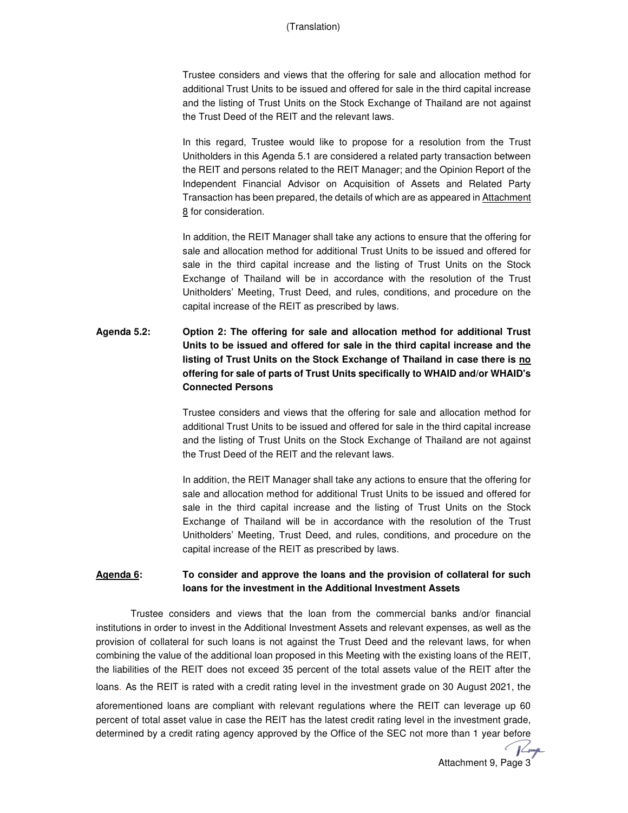#### (Translation)

Trustee considers and views that the offering for sale and allocation method for additional Trust Units to be issued and offered for sale in the third capital increase and the listing of Trust Units on the Stock Exchange of Thailand are not against the Trust Deed of the REIT and the relevant laws.

In this regard, Trustee would like to propose for a resolution from the Trust Unitholders in this Agenda 5.1 are considered a related party transaction between the REIT and persons related to the REIT Manager; and the Opinion Report of the Independent Financial Advisor on Acquisition of Assets and Related Party Transaction has been prepared, the details of which are as appeared in Attachment 8 for consideration.

In addition, the REIT Manager shall take any actions to ensure that the offering for sale and allocation method for additional Trust Units to be issued and offered for sale in the third capital increase and the listing of Trust Units on the Stock Exchange of Thailand will be in accordance with the resolution of the Trust Unitholders' Meeting, Trust Deed, and rules, conditions, and procedure on the capital increase of the REIT as prescribed by laws.

**Agenda 5.2: Option 2: The offering for sale and allocation method for additional Trust Units to be issued and offered for sale in the third capital increase and the listing of Trust Units on the Stock Exchange of Thailand in case there is no offering for sale of parts of Trust Units specifically to WHAID and/or WHAID's Connected Persons** 

> Trustee considers and views that the offering for sale and allocation method for additional Trust Units to be issued and offered for sale in the third capital increase and the listing of Trust Units on the Stock Exchange of Thailand are not against the Trust Deed of the REIT and the relevant laws.

> In addition, the REIT Manager shall take any actions to ensure that the offering for sale and allocation method for additional Trust Units to be issued and offered for sale in the third capital increase and the listing of Trust Units on the Stock Exchange of Thailand will be in accordance with the resolution of the Trust Unitholders' Meeting, Trust Deed, and rules, conditions, and procedure on the capital increase of the REIT as prescribed by laws.

#### **Agenda 6: To consider and approve the loans and the provision of collateral for such loans for the investment in the Additional Investment Assets**

Trustee considers and views that the loan from the commercial banks and/or financial institutions in order to invest in the Additional Investment Assets and relevant expenses, as well as the provision of collateral for such loans is not against the Trust Deed and the relevant laws, for when combining the value of the additional loan proposed in this Meeting with the existing loans of the REIT, the liabilities of the REIT does not exceed 35 percent of the total assets value of the REIT after the loans. As the REIT is rated with a credit rating level in the investment grade on 30 August 2021, the

aforementioned loans are compliant with relevant regulations where the REIT can leverage up 60 percent of total asset value in case the REIT has the latest credit rating level in the investment grade, determined by a credit rating agency approved by the Office of the SEC not more than 1 year before

Roye Attachment 9, Page 3